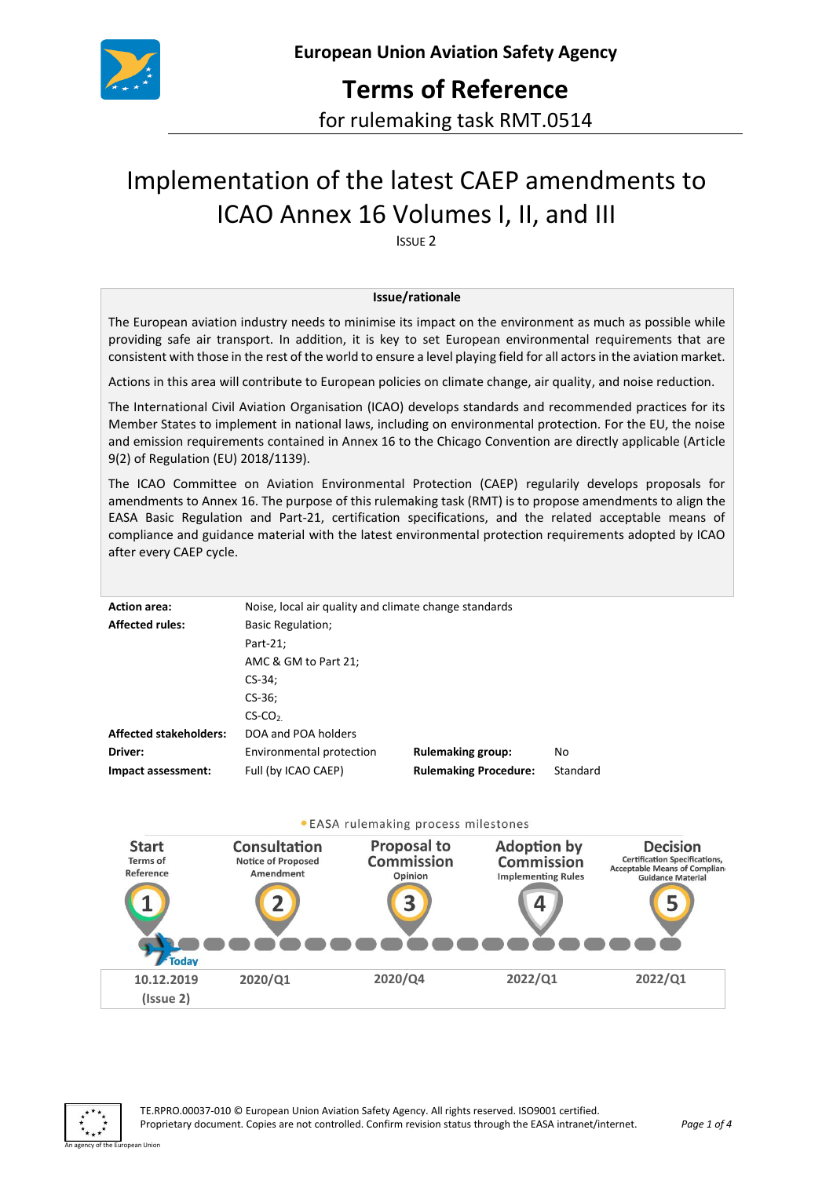

# **Terms of Reference**

for rulemaking task RMT.0514

# Implementation of the latest CAEP amendments to ICAO Annex 16 Volumes I, II, and III

ISSUE 2

#### **Issue/rationale**

The European aviation industry needs to minimise its impact on the environment as much as possible while providing safe air transport. In addition, it is key to set European environmental requirements that are consistent with those in the rest of the world to ensure a level playing field for all actors in the aviation market.

Actions in this area will contribute to European policies on climate change, air quality, and noise reduction.

The International Civil Aviation Organisation (ICAO) develops standards and recommended practices for its Member States to implement in national laws, including on environmental protection. For the EU, the noise and emission requirements contained in Annex 16 to the Chicago Convention are directly applicable (Article 9(2) of Regulation (EU) 2018/1139).

The ICAO Committee on Aviation Environmental Protection (CAEP) regularily develops proposals for amendments to Annex 16. The purpose of this rulemaking task (RMT) is to propose amendments to align the EASA Basic Regulation and Part-21, certification specifications, and the related acceptable means of compliance and guidance material with the latest environmental protection requirements adopted by ICAO after every CAEP cycle.

| <b>Action area:</b>           | Noise, local air quality and climate change standards |                              |          |
|-------------------------------|-------------------------------------------------------|------------------------------|----------|
| <b>Affected rules:</b>        | <b>Basic Regulation;</b>                              |                              |          |
|                               | Part-21;                                              |                              |          |
|                               | AMC $&$ GM to Part 21;                                |                              |          |
|                               | $CS-34:$                                              |                              |          |
|                               | $CS-36;$                                              |                              |          |
|                               | $CS$ -CO <sub>2</sub>                                 |                              |          |
| <b>Affected stakeholders:</b> | DOA and POA holders                                   |                              |          |
| Driver:                       | Environmental protection                              | <b>Rulemaking group:</b>     | No       |
| Impact assessment:            | Full (by ICAO CAEP)                                   | <b>Rulemaking Procedure:</b> | Standard |

#### . EASA rulemaking process milestones



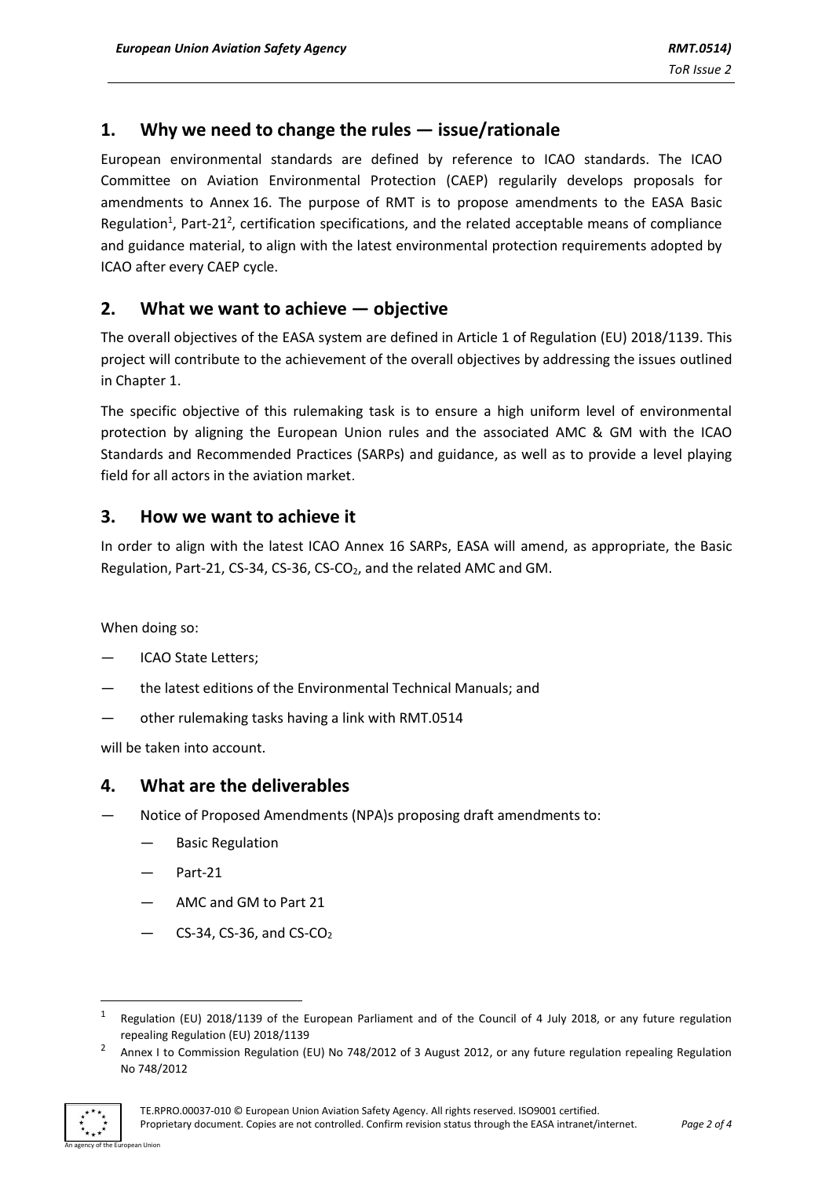# **1. Why we need to change the rules — issue/rationale**

European environmental standards are defined by reference to ICAO standards. The ICAO Committee on Aviation Environmental Protection (CAEP) regularily develops proposals for amendments to Annex 16. The purpose of RMT is to propose amendments to the EASA Basic Regulation<sup>1</sup>, Part-21<sup>2</sup>, certification specifications, and the related acceptable means of compliance and guidance material, to align with the latest environmental protection requirements adopted by ICAO after every CAEP cycle.

## **2. What we want to achieve — objective**

The overall objectives of the EASA system are defined in Article 1 of Regulation (EU) 2018/1139. This project will contribute to the achievement of the overall objectives by addressing the issues outlined in Chapter 1.

The specific objective of this rulemaking task is to ensure a high uniform level of environmental protection by aligning the European Union rules and the associated AMC & GM with the ICAO Standards and Recommended Practices (SARPs) and guidance, as well as to provide a level playing field for all actors in the aviation market.

#### **3. How we want to achieve it**

In order to align with the latest ICAO Annex 16 SARPs, EASA will amend, as appropriate, the Basic Regulation, Part-21, CS-34, CS-36, CS-CO2, and the related AMC and GM.

When doing so:

- ICAO State Letters;
- the latest editions of the Environmental Technical Manuals; and
- other rulemaking tasks having a link with RMT.0514

will be taken into account.

#### **4. What are the deliverables**

- Notice of Proposed Amendments (NPA)s proposing draft amendments to:
	- Basic Regulation
	- Part-21
	- AMC and GM to Part 21
	- CS-34, CS-36, and  $CS$ -CO<sub>2</sub>

<sup>2</sup> Annex I to Commission Regulation (EU) No 748/2012 of 3 August 2012, or any future regulation repealing Regulation No 748/2012



**.** 

<sup>1</sup> Regulation (EU) 2018/1139 of the European Parliament and of the Council of 4 July 2018, or any future regulation repealing Regulation (EU) 2018/1139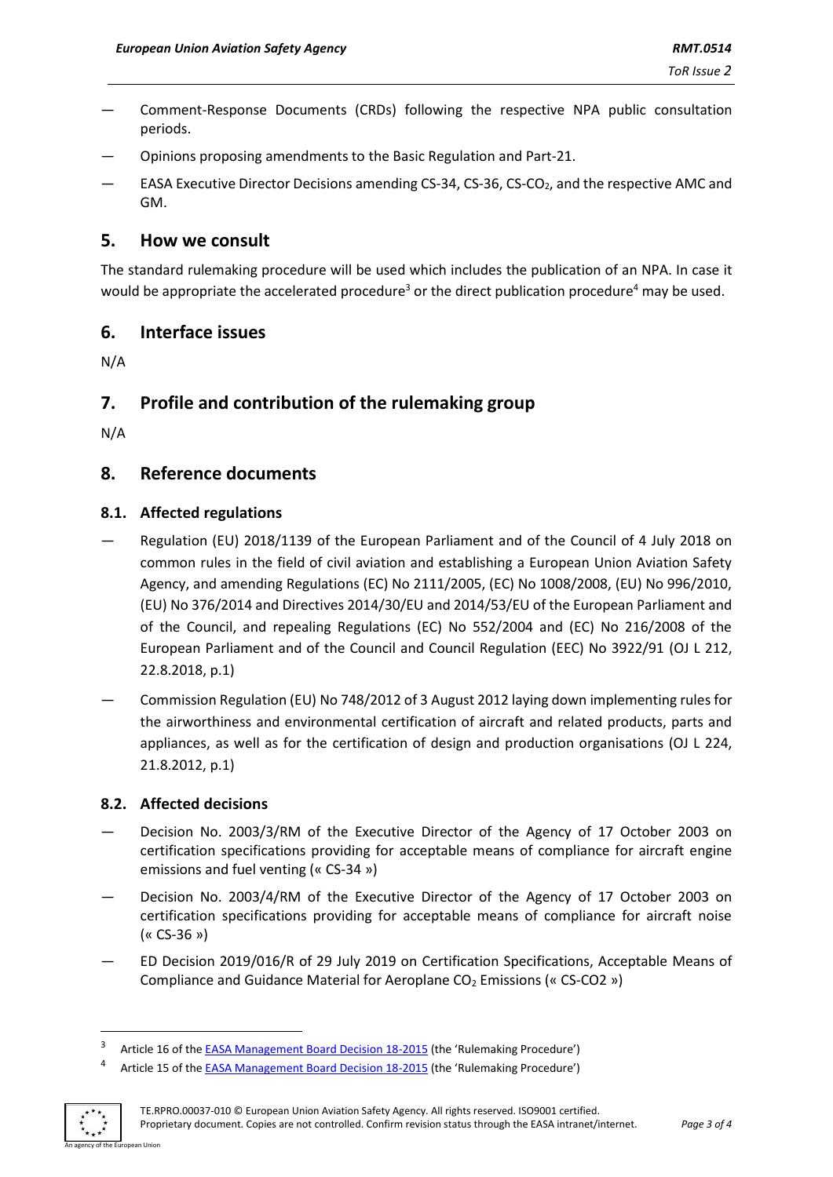- Comment-Response Documents (CRDs) following the respective NPA public consultation periods.
- Opinions proposing amendments to the Basic Regulation and Part-21.
- EASA Executive Director Decisions amending CS-34, CS-36, CS-CO<sub>2</sub>, and the respective AMC and GM.

### **5. How we consult**

The standard rulemaking procedure will be used which includes the publication of an NPA. In case it would be appropriate the accelerated procedure<sup>3</sup> or the direct publication procedure<sup>4</sup> may be used.

## **6. Interface issues**

N/A

# **7. Profile and contribution of the rulemaking group**

N/A

## **8. Reference documents**

#### **8.1. Affected regulations**

- Regulation (EU) 2018/1139 of the European Parliament and of the Council of 4 July 2018 on common rules in the field of civil aviation and establishing a European Union Aviation Safety Agency, and amending Regulations (EC) No 2111/2005, (EC) No 1008/2008, (EU) No 996/2010, (EU) No 376/2014 and Directives 2014/30/EU and 2014/53/EU of the European Parliament and of the Council, and repealing Regulations (EC) No 552/2004 and (EC) No 216/2008 of the European Parliament and of the Council and Council Regulation (EEC) No 3922/91 (OJ L 212, 22.8.2018, p.1)
- Commission Regulation (EU) No 748/2012 of 3 August 2012 laying down implementing rules for the airworthiness and environmental certification of aircraft and related products, parts and appliances, as well as for the certification of design and production organisations (OJ L 224, 21.8.2012, p.1)

#### **8.2. Affected decisions**

- Decision No. 2003/3/RM of the Executive Director of the Agency of 17 October 2003 on certification specifications providing for acceptable means of compliance for aircraft engine emissions and fuel venting (« CS-34 »)
- Decision No. 2003/4/RM of the Executive Director of the Agency of 17 October 2003 on certification specifications providing for acceptable means of compliance for aircraft noise (« CS-36 »)
- ED Decision 2019/016/R of 29 July 2019 on Certification Specifications, Acceptable Means of Compliance and Guidance Material for Aeroplane  $CO<sub>2</sub>$  Emissions (« CS-CO2 »)

Article 15 of the [EASA Management Board Decision 18-2015](https://www.easa.europa.eu/the-agency/management-board/decisions/easa-mb-decision-18-2015-rulemaking-procedure) (the 'Rulemaking Procedure')



1

4

<sup>3</sup> Article 16 of the [EASA Management Board Decision 18-2015](https://www.easa.europa.eu/the-agency/management-board/decisions/easa-mb-decision-18-2015-rulemaking-procedure) (the 'Rulemaking Procedure')

TE.RPRO.00037-010 © European Union Aviation Safety Agency. All rights reserved. ISO9001 certified. Proprietary document. Copies are not controlled. Confirm revision status through the EASA intranet/internet. *Page 3 of 4*